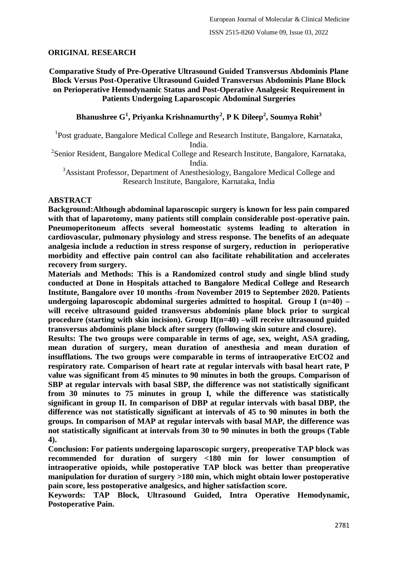# **ORIGINAL RESEARCH**

**Comparative Study of Pre-Operative Ultrasound Guided Transversus Abdominis Plane Block Versus Post-Operative Ultrasound Guided Transversus Abdominis Plane Block on Perioperative Hemodynamic Status and Post-Operative Analgesic Requirement in Patients Undergoing Laparoscopic Abdominal Surgeries**

**Bhanushree G<sup>1</sup> , Priyanka Krishnamurthy<sup>2</sup> , P K Dileep<sup>2</sup> , Soumya Rohit<sup>3</sup>**

<sup>1</sup>Post graduate, Bangalore Medical College and Research Institute, Bangalore, Karnataka,

India.

<sup>2</sup> Senior Resident, Bangalore Medical College and Research Institute, Bangalore, Karnataka, India.

<sup>3</sup>Assistant Professor, Department of Anesthesiology, Bangalore Medical College and Research Institute, Bangalore, Karnataka, India

## **ABSTRACT**

**Background:Although abdominal laparoscopic surgery is known for less pain compared with that of laparotomy, many patients still complain considerable post-operative pain. Pneumoperitoneum affects several homeostatic systems leading to alteration in cardiovascular, pulmonary physiology and stress response. The benefits of an adequate analgesia include a reduction in stress response of surgery, reduction in perioperative morbidity and effective pain control can also facilitate rehabilitation and accelerates recovery from surgery.**

**Materials and Methods: This is a Randomized control study and single blind study conducted at Done in Hospitals attached to Bangalore Medical College and Research Institute, Bangalore over 10 months -from November 2019 to September 2020. Patients undergoing laparoscopic abdominal surgeries admitted to hospital. Group I (n=40) – will receive ultrasound guided transversus abdominis plane block prior to surgical procedure (starting with skin incision). Group II(n=40) –will receive ultrasound guided transversus abdominis plane block after surgery (following skin suture and closure).**

**Results: The two groups were comparable in terms of age, sex, weight, ASA grading, mean duration of surgery, mean duration of anesthesia and mean duration of insufflations. The two groups were comparable in terms of intraoperative EtCO2 and respiratory rate. Comparison of heart rate at regular intervals with basal heart rate, P value was significant from 45 minutes to 90 minutes in both the groups. Comparison of SBP at regular intervals with basal SBP, the difference was not statistically significant from 30 minutes to 75 minutes in group I, while the difference was statistically significant in group II. In comparison of DBP at regular intervals with basal DBP, the difference was not statistically significant at intervals of 45 to 90 minutes in both the groups. In comparison of MAP at regular intervals with basal MAP, the difference was not statistically significant at intervals from 30 to 90 minutes in both the groups (Table 4).**

**Conclusion: For patients undergoing laparoscopic surgery, preoperative TAP block was recommended for duration of surgery <180 min for lower consumption of intraoperative opioids, while postoperative TAP block was better than preoperative manipulation for duration of surgery >180 min, which might obtain lower postoperative pain score, less postoperative analgesics, and higher satisfaction score.**

**Keywords: TAP Block, Ultrasound Guided, Intra Operative Hemodynamic, Postoperative Pain.**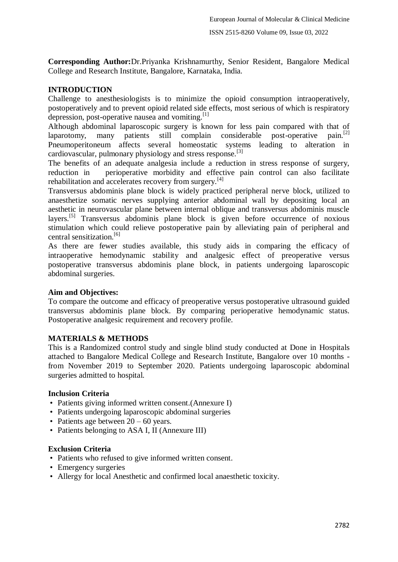**Corresponding Author:**Dr.Priyanka Krishnamurthy, Senior Resident, Bangalore Medical College and Research Institute, Bangalore, Karnataka, India.

## **INTRODUCTION**

Challenge to anesthesiologists is to minimize the opioid consumption intraoperatively, postoperatively and to prevent opioid related side effects, most serious of which is respiratory depression, post-operative nausea and vomiting.<sup>[1]</sup>

Although abdominal laparoscopic surgery is known for less pain compared with that of laparotomy, many patients still complain considerable post-operative pain.<sup>[2]</sup> Pneumoperitoneum affects several homeostatic systems leading to alteration in cardiovascular, pulmonary physiology and stress response.[3]

The benefits of an adequate analgesia include a reduction in stress response of surgery, reduction in perioperative morbidity and effective pain control can also facilitate rehabilitation and accelerates recovery from surgery.<sup>[4]</sup>

Transversus abdominis plane block is widely practiced peripheral nerve block, utilized to anaesthetize somatic nerves supplying anterior abdominal wall by depositing local an aesthetic in neurovascular plane between internal oblique and transversus abdominis muscle layers.[5] Transversus abdominis plane block is given before occurrence of noxious stimulation which could relieve postoperative pain by alleviating pain of peripheral and central sensitization. $[6]$ 

As there are fewer studies available, this study aids in comparing the efficacy of intraoperative hemodynamic stability and analgesic effect of preoperative versus postoperative transversus abdominis plane block, in patients undergoing laparoscopic abdominal surgeries.

## **Aim and Objectives:**

To compare the outcome and efficacy of preoperative versus postoperative ultrasound guided transversus abdominis plane block. By comparing perioperative hemodynamic status. Postoperative analgesic requirement and recovery profile.

## **MATERIALS & METHODS**

This is a Randomized control study and single blind study conducted at Done in Hospitals attached to Bangalore Medical College and Research Institute, Bangalore over 10 months from November 2019 to September 2020. Patients undergoing laparoscopic abdominal surgeries admitted to hospital.

#### **Inclusion Criteria**

- Patients giving informed written consent. (Annexure I)
- Patients undergoing laparoscopic abdominal surgeries
- Patients age between  $20 60$  years.
- Patients belonging to ASA I, II (Annexure III)

### **Exclusion Criteria**

- Patients who refused to give informed written consent.
- Emergency surgeries
- Allergy for local Anesthetic and confirmed local anaesthetic toxicity.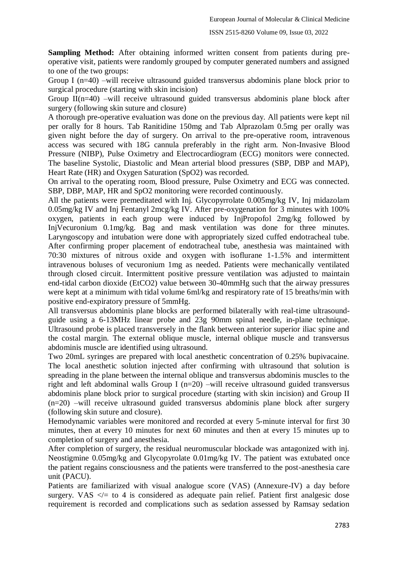**Sampling Method:** After obtaining informed written consent from patients during preoperative visit, patients were randomly grouped by computer generated numbers and assigned to one of the two groups:

Group I (n=40) –will receive ultrasound guided transversus abdominis plane block prior to surgical procedure (starting with skin incision)

Group  $II(n=40)$  –will receive ultrasound guided transversus abdominis plane block after surgery (following skin suture and closure)

A thorough pre-operative evaluation was done on the previous day. All patients were kept nil per orally for 8 hours. Tab Ranitidine 150mg and Tab Alprazolam 0.5mg per orally was given night before the day of surgery. On arrival to the pre-operative room, intravenous access was secured with 18G cannula preferably in the right arm. Non-Invasive Blood Pressure (NIBP), Pulse Oximetry and Electrocardiogram (ECG) monitors were connected. The baseline Systolic, Diastolic and Mean arterial blood pressures (SBP, DBP and MAP), Heart Rate (HR) and Oxygen Saturation (SpO2) was recorded.

On arrival to the operating room, Blood pressure, Pulse Oximetry and ECG was connected. SBP, DBP, MAP, HR and SpO2 monitoring were recorded continuously.

All the patients were premeditated with Inj. Glycopyrrolate 0.005mg/kg IV, Inj midazolam 0.05mg/kg IV and Inj Fentanyl 2mcg/kg IV. After pre-oxygenation for 3 minutes with 100% oxygen, patients in each group were induced by InjPropofol 2mg/kg followed by InjVecuronium 0.1mg/kg. Bag and mask ventilation was done for three minutes. Laryngoscopy and intubation were done with appropriately sized cuffed endotracheal tube. After confirming proper placement of endotracheal tube, anesthesia was maintained with 70:30 mixtures of nitrous oxide and oxygen with isoflurane 1-1.5% and intermittent intravenous boluses of vecuronium 1mg as needed. Patients were mechanically ventilated through closed circuit. Intermittent positive pressure ventilation was adjusted to maintain end-tidal carbon dioxide (EtCO2) value between 30-40mmHg such that the airway pressures were kept at a minimum with tidal volume 6ml/kg and respiratory rate of 15 breaths/min with positive end-expiratory pressure of 5mmHg.

All transversus abdominis plane blocks are performed bilaterally with real-time ultrasoundguide using a 6-13MHz linear probe and 23g 90mm spinal needle, in-plane technique. Ultrasound probe is placed transversely in the flank between anterior superior iliac spine and the costal margin. The external oblique muscle, internal oblique muscle and transversus abdominis muscle are identified using ultrasound.

Two 20mL syringes are prepared with local anesthetic concentration of 0.25% bupivacaine. The local anesthetic solution injected after confirming with ultrasound that solution is spreading in the plane between the internal oblique and transversus abdominis muscles to the right and left abdominal walls Group I (n=20) –will receive ultrasound guided transversus abdominis plane block prior to surgical procedure (starting with skin incision) and Group II (n=20) –will receive ultrasound guided transversus abdominis plane block after surgery (following skin suture and closure).

Hemodynamic variables were monitored and recorded at every 5-minute interval for first 30 minutes, then at every 10 minutes for next 60 minutes and then at every 15 minutes up to completion of surgery and anesthesia.

After completion of surgery, the residual neuromuscular blockade was antagonized with inj. Neostigmine 0.05mg/kg and Glycopyrolate 0.01mg/kg IV. The patient was extubated once the patient regains consciousness and the patients were transferred to the post-anesthesia care unit (PACU).

Patients are familiarized with visual analogue score (VAS) (Annexure-IV) a day before surgery. VAS  $\lt$  to 4 is considered as adequate pain relief. Patient first analgesic dose requirement is recorded and complications such as sedation assessed by Ramsay sedation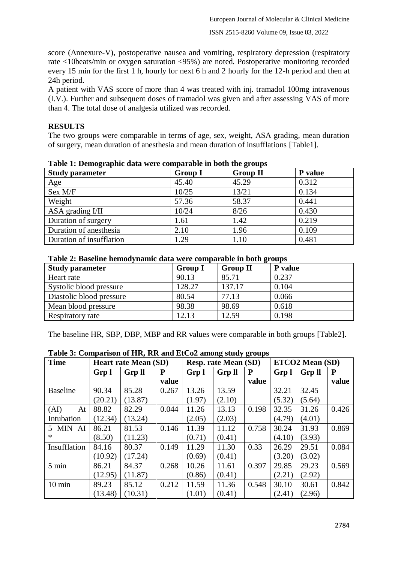score (Annexure-V), postoperative nausea and vomiting, respiratory depression (respiratory rate <10beats/min or oxygen saturation <95%) are noted. Postoperative monitoring recorded every 15 min for the first 1 h, hourly for next 6 h and 2 hourly for the 12-h period and then at 24h period.

A patient with VAS score of more than 4 was treated with inj. tramadol 100mg intravenous (I.V.). Further and subsequent doses of tramadol was given and after assessing VAS of more than 4. The total dose of analgesia utilized was recorded.

# **RESULTS**

The two groups were comparable in terms of age, sex, weight, ASA grading, mean duration of surgery, mean duration of anesthesia and mean duration of insufflations [Table1].

| Tuble 11 Demographic anni Were comparable in Soun me groups |                |                 |         |
|-------------------------------------------------------------|----------------|-----------------|---------|
| <b>Study parameter</b>                                      | <b>Group I</b> | <b>Group II</b> | P value |
| Age                                                         | 45.40          | 45.29           | 0.312   |
| Sex M/F                                                     | 10/25          | 13/21           | 0.134   |
| Weight                                                      | 57.36          | 58.37           | 0.441   |
| ASA grading I/II                                            | 10/24          | 8/26            | 0.430   |
| Duration of surgery                                         | 1.61           | 1.42            | 0.219   |
| Duration of anesthesia                                      | 2.10           | 1.96            | 0.109   |
| Duration of insufflation                                    | 1.29           | 1.10            | 0.481   |

**Table 1: Demographic data were comparable in both the groups**

| Table 2: Baseline hemodynamic data were comparable in both groups |  |
|-------------------------------------------------------------------|--|
|-------------------------------------------------------------------|--|

| <b>Study parameter</b>   | <b>Group I</b> | <b>Group II</b> | P value |
|--------------------------|----------------|-----------------|---------|
| Heart rate               | 90.13          | 85.71           | 0.237   |
| Systolic blood pressure  | 128.27         | 137.17          | 0.104   |
| Diastolic blood pressure | 80.54          | 77.13           | 0.066   |
| Mean blood pressure      | 98.38          | 98.69           | 0.618   |
| Respiratory rate         | 12.13          | 12.59           | 0.198   |

The baseline HR, SBP, DBP, MBP and RR values were comparable in both groups [Table2].

| <b>Time</b>      |         | <b>Heart rate Mean (SD)</b> |           |        | <b>Resp. rate Mean (SD)</b> |       |        | ETCO2 Mean (SD) |       |  |
|------------------|---------|-----------------------------|-----------|--------|-----------------------------|-------|--------|-----------------|-------|--|
|                  | Grp 1   | <b>Grp II</b>               | ${\bf P}$ | Grp 1  | <b>Grp II</b>               | P     | Grp 1  | <b>Grp II</b>   | P     |  |
|                  |         |                             | value     |        |                             | value |        |                 | value |  |
| <b>Baseline</b>  | 90.34   | 85.28                       | 0.267     | 13.26  | 13.59                       |       | 32.21  | 32.45           |       |  |
|                  | (20.21) | (13.87)                     |           | (1.97) | (2.10)                      |       | (5.32) | (5.64)          |       |  |
| (AI)<br>At       | 88.82   | 82.29                       | 0.044     | 11.26  | 13.13                       | 0.198 | 32.35  | 31.26           | 0.426 |  |
| Intubation       | (12.34) | (13.24)                     |           | (2.05) | (2.03)                      |       | (4.79) | (4.01)          |       |  |
| 5 MIN AI         | 86.21   | 81.53                       | 0.146     | 11.39  | 11.12                       | 0.758 | 30.24  | 31.93           | 0.869 |  |
| *                | (8.50)  | (11.23)                     |           | (0.71) | (0.41)                      |       | (4.10) | (3.93)          |       |  |
| Insufflation     | 84.16   | 80.37                       | 0.149     | 11.29  | 11.30                       | 0.33  | 26.29  | 29.51           | 0.084 |  |
|                  | (10.92) | (17.24)                     |           | (0.69) | (0.41)                      |       | (3.20) | (3.02)          |       |  |
| 5 min            | 86.21   | 84.37                       | 0.268     | 10.26  | 11.61                       | 0.397 | 29.85  | 29.23           | 0.569 |  |
|                  | (12.95) | (11.87)                     |           | (0.86) | (0.41)                      |       | (2.21) | (2.92)          |       |  |
| $10 \text{ min}$ | 89.23   | 85.12                       | 0.212     | 11.59  | 11.36                       | 0.548 | 30.10  | 30.61           | 0.842 |  |
|                  | (13.48) | (10.31)                     |           | (1.01) | (0.41)                      |       | (2.41) | (2.96)          |       |  |

**Table 3: Comparison of HR, RR and EtCo2 among study groups**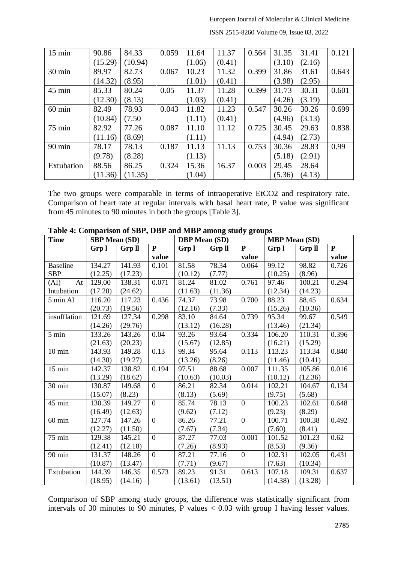| $15 \text{ min}$ | 90.86   | 84.33   | 0.059 | 11.64  | 11.37  | 0.564 | 31.35  | 31.41  | 0.121 |
|------------------|---------|---------|-------|--------|--------|-------|--------|--------|-------|
|                  | (15.29) | (10.94) |       | (1.06) | (0.41) |       | (3.10) | (2.16) |       |
| 30 min           | 89.97   | 82.73   | 0.067 | 10.23  | 11.32  | 0.399 | 31.86  | 31.61  | 0.643 |
|                  | (14.32) | (8.95)  |       | (1.01) | (0.41) |       | (3.98) | (2.95) |       |
| 45 min           | 85.33   | 80.24   | 0.05  | 11.37  | 11.28  | 0.399 | 31.73  | 30.31  | 0.601 |
|                  | (12.30) | (8.13)  |       | (1.03) | (0.41) |       | (4.26) | (3.19) |       |
| $60$ min         | 82.49   | 78.93   | 0.043 | 11.82  | 11.23  | 0.547 | 30.26  | 30.26  | 0.699 |
|                  | (10.84) | (7.50)  |       | (1.11) | (0.41) |       | (4.96) | (3.13) |       |
| $75$ min         | 82.92   | 77.26   | 0.087 | 11.10  | 11.12  | 0.725 | 30.45  | 29.63  | 0.838 |
|                  | (11.16) | (8.69)  |       | (1.11) |        |       | (4.94) | (2.73) |       |
| 90 min           | 78.17   | 78.13   | 0.187 | 11.13  | 11.13  | 0.753 | 30.36  | 28.83  | 0.99  |
|                  | (9.78)  | (8.28)  |       | (1.13) |        |       | (5.18) | (2.91) |       |
| Extubation       | 88.56   | 86.25   | 0.324 | 15.36  | 16.37  | 0.003 | 29.45  | 28.64  |       |
|                  | (11.36) | (11.35) |       | (1.04) |        |       | (5.36) | (4.13) |       |

ISSN 2515-8260 Volume 09, Issue 03, 2022

The two groups were comparable in terms of intraoperative EtCO2 and respiratory rate. Comparison of heart rate at regular intervals with basal heart rate, P value was significant from 45 minutes to 90 minutes in both the groups [Table 3].

| <b>Time</b>                | <b>SBP</b> Mean (SD) |               |                | <b>DBP</b> Mean (SD) |               |                  | <b>MBP</b> Mean (SD) |               |              |
|----------------------------|----------------------|---------------|----------------|----------------------|---------------|------------------|----------------------|---------------|--------------|
|                            | Grp 1                | <b>Grp II</b> | ${\bf P}$      | Grp l                | <b>Grp II</b> | ${\bf P}$        | Grp 1                | <b>Grp II</b> | $\mathbf{P}$ |
|                            |                      |               | value          |                      |               | value            |                      |               | value        |
| <b>Baseline</b>            | 134.27               | 141.93        | 0.101          | 81.58                | 78.34         | 0.064            | 99.12                | 98.82         | 0.726        |
| <b>SBP</b>                 | (12.25)              | (17.23)       |                | (10.12)              | (7.77)        |                  | (10.25)              | (8.96)        |              |
| (AI)<br>At                 | 129.00               | 138.31        | 0.071          | 81.24                | 81.02         | 0.761            | 97.46                | 100.21        | 0.294        |
| Intubation                 | (17.20)              | (24.62)       |                | (11.63)              | (11.36)       |                  | (12.34)              | (14.23)       |              |
| 5 min AI                   | 116.20               | 117.23        | 0.436          | 74.37                | 73.98         | 0.700            | 88.23                | 88.45         | 0.634        |
|                            | (20.73)              | (19.56)       |                | (12.16)              | (7.33)        |                  | (15.26)              | (10.36)       |              |
| insufflation               | 121.69               | 127.34        | 0.298          | 83.10                | 84.64         | 0.739            | 95.34                | 99.67         | 0.549        |
|                            | (14.26)              | (29.76)       |                | (13.12)              | (16.28)       |                  | (13.46)              | (21.34)       |              |
| $5 \text{ min}$            | 133.26               | 143.26        | 0.04           | 93.26                | 93.64         | 0.334            | 106.20               | 110.31        | 0.396        |
|                            | (21.63)              | (20.23)       |                | (15.67)              | (12.85)       |                  | (16.21)              | (15.29)       |              |
| $10 \text{ min}$           | 143.93               | 149.28        | 0.13           | 99.34                | 95.64         | 0.113            | 113.23               | 113.34        | 0.840        |
|                            | (14.30)              | (19.27)       |                | (13.26)              | (8.26)        |                  | (11.46)              | (10.41)       |              |
| $15 \text{ min}$           | 142.37               | 138.82        | 0.194          | 97.51                | 88.68         | 0.007            | 111.35               | 105.86        | 0.016        |
|                            | (13.29)              | (18.62)       |                | (10.63)              | (10.03)       |                  | (10.12)              | (12.36)       |              |
| $30 \overline{\text{min}}$ | 130.87               | 149.68        | $\overline{0}$ | 86.21                | 82.34         | 0.014            | 102.21               | 104.67        | 0.134        |
|                            | (15.07)              | (8.23)        |                | (8.13)               | (5.69)        |                  | (9.75)               | (5.68)        |              |
| 45 min                     | 130.39               | 149.27        | $\overline{0}$ | 85.74                | 78.13         | $\boldsymbol{0}$ | 100.23               | 102.61        | 0.648        |
|                            | (16.49)              | (12.63)       |                | (9.62)               | (7.12)        |                  | (9.23)               | (8.29)        |              |
| $60$ min                   | 127.74               | 147.26        | $\overline{0}$ | 86.26                | 77.21         | $\overline{0}$   | 100.71               | 100.38        | 0.492        |
|                            | (12.27)              | (11.50)       |                | (7.67)               | (7.34)        |                  | (7.60)               | (8.41)        |              |
| 75 min                     | 129.38               | 145.21        | $\overline{0}$ | 87.27                | 77.03         | 0.001            | 101.52               | 101.23        | 0.62         |
|                            | (12.41)              | (12.18)       |                | (7.26)               | (8.93)        |                  | (8.53)               | (9.36)        |              |
| $90 \text{ min}$           | 131.37               | 148.26        | $\overline{0}$ | 87.21                | 77.16         | $\overline{0}$   | 102.31               | 102.05        | 0.431        |
|                            | (10.87)              | (13.47)       |                | (7.71)               | (9.67)        |                  | (7.63)               | (10.34)       |              |
| Extubation                 | 144.39               | 146.35        | 0.573          | 89.23                | 91.31         | 0.613            | 107.18               | 109.31        | 0.637        |
|                            | (18.95)              | (14.16)       |                | (13.61)              | (13.51)       |                  | (14.38)              | (13.28)       |              |

**Table 4: Comparison of SBP, DBP and MBP among study groups**

Comparison of SBP among study groups, the difference was statistically significant from intervals of 30 minutes to 90 minutes, P values  $< 0.03$  with group I having lesser values.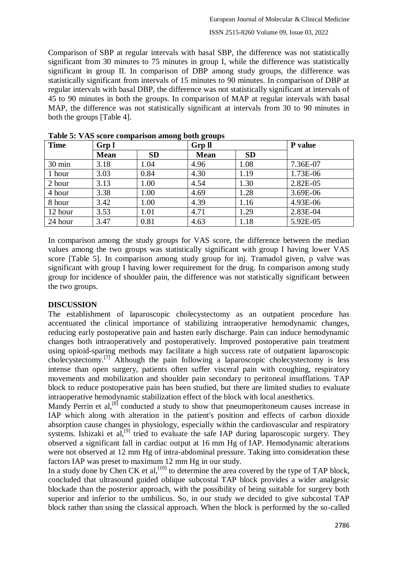Comparison of SBP at regular intervals with basal SBP, the difference was not statistically significant from 30 minutes to 75 minutes in group I, while the difference was statistically significant in group II. In comparison of DBP among study groups, the difference was statistically significant from intervals of 15 minutes to 90 minutes. In comparison of DBP at regular intervals with basal DBP, the difference was not statistically significant at intervals of 45 to 90 minutes in both the groups. In comparison of MAP at regular intervals with basal MAP, the difference was not statistically significant at intervals from 30 to 90 minutes in both the groups [Table 4].

| <b>Time</b>      | Grp 1       |           | <b>Grp ll</b> |           | P value  |
|------------------|-------------|-----------|---------------|-----------|----------|
|                  | <b>Mean</b> | <b>SD</b> | <b>Mean</b>   | <b>SD</b> |          |
| $30 \text{ min}$ | 3.18        | 1.04      | 4.96          | 1.08      | 7.36E-07 |
| 1 hour           | 3.03        | 0.84      | 4.30          | 1.19      | 1.73E-06 |
| 2 hour           | 3.13        | 1.00      | 4.54          | 1.30      | 2.82E-05 |
| 4 hour           | 3.38        | 1.00      | 4.69          | 1.28      | 3.69E-06 |
| 8 hour           | 3.42        | 1.00      | 4.39          | 1.16      | 4.93E-06 |
| 12 hour          | 3.53        | 1.01      | 4.71          | 1.29      | 2.83E-04 |
| 24 hour          | 3.47        | 0.81      | 4.63          | 1.18      | 5.92E-05 |

**Table 5: VAS score comparison among both groups**

In comparison among the study groups for VAS score, the difference between the median values among the two groups was statistically significant with group I having lower VAS score [Table 5]. In comparison among study group for inj. Tramadol given, p valve was significant with group I having lower requirement for the drug. In comparison among study group for incidence of shoulder pain, the difference was not statistically significant between the two groups.

## **DISCUSSION**

The establishment of laparoscopic cholecystectomy as an outpatient procedure has accentuated the clinical importance of stabilizing intraoperative hemodynamic changes, reducing early postoperative pain and hasten early discharge. Pain can induce hemodynamic changes both intraoperatively and postoperatively. Improved postoperative pain treatment using opioid-sparing methods may facilitate a high success rate of outpatient laparoscopic cholecystectomy.[7] Although the pain following a laparoscopic cholecystectomy is less intense than open surgery, patients often suffer visceral pain with coughing, respiratory movements and mobilization and shoulder pain secondary to peritoneal insufflations. TAP block to reduce postoperative pain has been studied, but there are limited studies to evaluate intraoperative hemodynamic stabilization effect of the block with local anesthetics.

Mandy Perrin et al,<sup>[8]</sup> conducted a study to show that pneumoperitoneum causes increase in IAP which along with alteration in the patient's position and effects of carbon dioxide absorption cause changes in physiology, especially within the cardiovascular and respiratory systems. Ishizaki et al,<sup>[9]</sup> tried to evaluate the safe IAP during laparoscopic surgery. They observed a significant fall in cardiac output at 16 mm Hg of IAP. Hemodynamic alterations were not observed at 12 mm Hg of intra-abdominal pressure. Taking into consideration these factors IAP was preset to maximum 12 mm Hg in our study.

In a study done by Chen CK et al,  $^{[10]}$  to determine the area covered by the type of TAP block, concluded that ultrasound guided oblique subcostal TAP block provides a wider analgesic blockade than the posterior approach, with the possibility of being suitable for surgery both superior and inferior to the umbilicus. So, in our study we decided to give subcostal TAP block rather than using the classical approach. When the block is performed by the so-called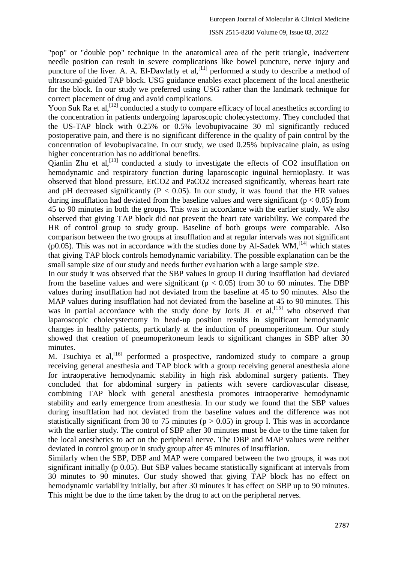#### ISSN 2515-8260 Volume 09, Issue 03, 2022

"pop" or "double pop" technique in the anatomical area of the petit triangle, inadvertent needle position can result in severe complications like bowel puncture, nerve injury and puncture of the liver. A. A. El-Dawlatly et  $al$ ,  $[11]$  performed a study to describe a method of ultrasound-guided TAP block. USG guidance enables exact placement of the local anesthetic for the block. In our study we preferred using USG rather than the landmark technique for correct placement of drug and avoid complications.

Yoon Suk Ra et al,<sup>[12]</sup> conducted a study to compare efficacy of local anesthetics according to the concentration in patients undergoing laparoscopic cholecystectomy. They concluded that the US-TAP block with 0.25% or 0.5% levobupivacaine 30 ml significantly reduced postoperative pain, and there is no significant difference in the quality of pain control by the concentration of levobupivacaine. In our study, we used 0.25% bupivacaine plain, as using higher concentration has no additional benefits.

Qianlin Zhu et al,  $^{[13]}$  conducted a study to investigate the effects of CO2 insufflation on hemodynamic and respiratory function during laparoscopic inguinal hernioplasty. It was observed that blood pressure, EtCO2 and PaCO2 increased significantly, whereas heart rate and pH decreased significantly ( $P < 0.05$ ). In our study, it was found that the HR values during insufflation had deviated from the baseline values and were significant ( $p < 0.05$ ) from 45 to 90 minutes in both the groups. This was in accordance with the earlier study. We also observed that giving TAP block did not prevent the heart rate variability. We compared the HR of control group to study group. Baseline of both groups were comparable. Also comparison between the two groups at insufflation and at regular intervals was not significant ( $p0.05$ ). This was not in accordance with the studies done by Al-Sadek WM,<sup>[14]</sup> which states that giving TAP block controls hemodynamic variability. The possible explanation can be the small sample size of our study and needs further evaluation with a large sample size.

In our study it was observed that the SBP values in group II during insufflation had deviated from the baseline values and were significant ( $p < 0.05$ ) from 30 to 60 minutes. The DBP values during insufflation had not deviated from the baseline at 45 to 90 minutes. Also the MAP values during insufflation had not deviated from the baseline at 45 to 90 minutes. This was in partial accordance with the study done by Joris JL et  $al$ , [15] who observed that laparoscopic cholecystectomy in head-up position results in significant hemodynamic changes in healthy patients, particularly at the induction of pneumoperitoneum. Our study showed that creation of pneumoperitoneum leads to significant changes in SBP after 30 minutes.

M. Tsuchiya et al,<sup>[16]</sup> performed a prospective, randomized study to compare a group receiving general anesthesia and TAP block with a group receiving general anesthesia alone for intraoperative hemodynamic stability in high risk abdominal surgery patients. They concluded that for abdominal surgery in patients with severe cardiovascular disease, combining TAP block with general anesthesia promotes intraoperative hemodynamic stability and early emergence from anesthesia. In our study we found that the SBP values during insufflation had not deviated from the baseline values and the difference was not statistically significant from 30 to 75 minutes ( $p > 0.05$ ) in group I. This was in accordance with the earlier study. The control of SBP after 30 minutes must be due to the time taken for the local anesthetics to act on the peripheral nerve. The DBP and MAP values were neither deviated in control group or in study group after 45 minutes of insufflation.

Similarly when the SBP, DBP and MAP were compared between the two groups, it was not significant initially (p 0.05). But SBP values became statistically significant at intervals from 30 minutes to 90 minutes. Our study showed that giving TAP block has no effect on hemodynamic variability initially, but after 30 minutes it has effect on SBP up to 90 minutes. This might be due to the time taken by the drug to act on the peripheral nerves.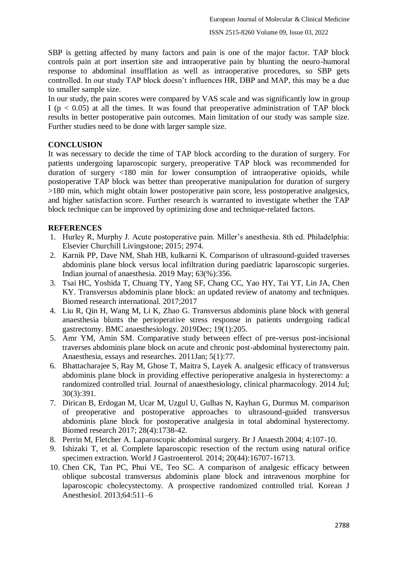SBP is getting affected by many factors and pain is one of the major factor. TAP block controls pain at port insertion site and intraoperative pain by blunting the neuro-humoral response to abdominal insufflation as well as intraoperative procedures, so SBP gets controlled. In our study TAP block doesn't influences HR, DBP and MAP, this may be a due to smaller sample size.

In our study, the pain scores were compared by VAS scale and was significantly low in group I ( $p < 0.05$ ) at all the times. It was found that preoperative administration of TAP block results in better postoperative pain outcomes. Main limitation of our study was sample size. Further studies need to be done with larger sample size.

# **CONCLUSION**

It was necessary to decide the time of TAP block according to the duration of surgery. For patients undergoing laparoscopic surgery, preoperative TAP block was recommended for duration of surgery <180 min for lower consumption of intraoperative opioids, while postoperative TAP block was better than preoperative manipulation for duration of surgery >180 min, which might obtain lower postoperative pain score, less postoperative analgesics, and higher satisfaction score. Further research is warranted to investigate whether the TAP block technique can be improved by optimizing dose and technique-related factors.

# **REFERENCES**

- 1. Hurley R, Murphy J. Acute postoperative pain. Miller's anesthesia. 8th ed. Philadelphia: Elsevier Churchill Livingstone; 2015; 2974.
- 2. Karnik PP, Dave NM, Shah HB, kulkarni K. Comparison of ultrasound-guided traverses abdominis plane block versus local infiltration during paediatric laparoscopic surgeries. Indian journal of anaesthesia. 2019 May; 63(%):356.
- 3. Tsai HC, Yoshida T, Chuang TY, Yang SF, Chang CC, Yao HY, Tai YT, Lin JA, Chen KY. Transversus abdominis plane block: an updated review of anatomy and techniques. Biomed research international. 2017;2017
- 4. Liu R, Qin H, Wang M, Li K, Zhao G. Transversus abdominis plane block with general anaesthesia blunts the perioperative stress response in patients undergoing radical gastrectomy. BMC anaesthesiology. 2019Dec; 19(1):205.
- 5. Amr YM, Amin SM. Comparative study between effect of pre-versus post-incisional traverses abdominis plane block on acute and chronic post-abdominal hysterectomy pain. Anaesthesia, essays and researches. 2011Jan; 5(1):77.
- 6. Bhattacharajee S, Ray M, Ghose T, Maitra S, Layek A. analgesic efficacy of transversus abdominis plane block in providing effective perioperative analgesia in hysterectomy: a randomized controlled trial. Journal of anaesthesiology, clinical pharmacology. 2014 Jul; 30(3):391.
- 7. Dirican B, Erdogan M, Ucar M, Uzgul U, Gulhas N, Kayhan G, Durmus M. comparison of preoperative and postoperative approaches to ultrasound-guided transversus abdominis plane block for postoperative analgesia in total abdominal hysterectomy. Biomed research 2017; 28(4):1738-42.
- 8. Perrin M, Fletcher A. Laparoscopic abdominal surgery. Br J Anaesth 2004; 4:107-10.
- 9. Ishizaki T, et al. Complete laparoscopic resection of the rectum using natural orifice specimen extraction. World J Gastroenterol. 2014; 20(44):16707-16713.
- 10. Chen CK, Tan PC, Phui VE, Teo SC. A comparison of analgesic efficacy between oblique subcostal transversus abdominis plane block and intravenous morphine for laparoscopic cholecystectomy. A prospective randomized controlled trial. Korean J Anesthesiol. 2013;64:511–6